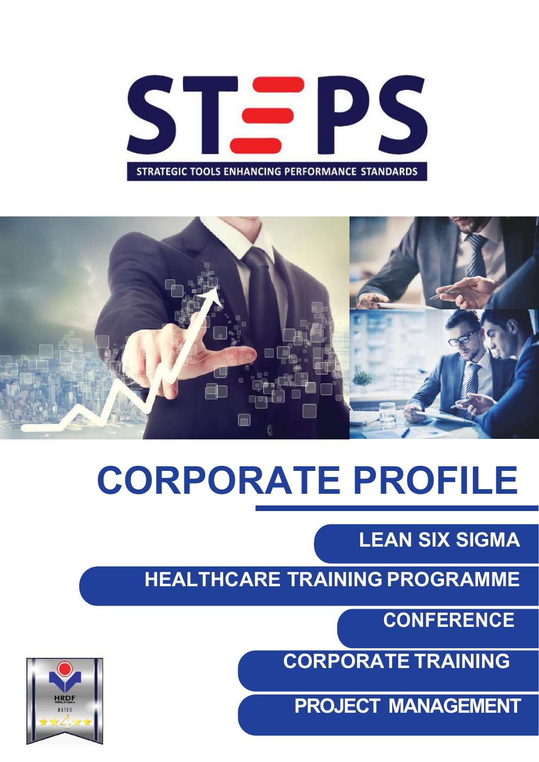



# **CORPORATE PROFILE**

**LEAN SIX SIGMA**

**HEALTHCARE TRAINING PROGRAMME**

**CONFERENCE**

**CORPORATE TRAINING**

**PROJECT MANAGEMENT**

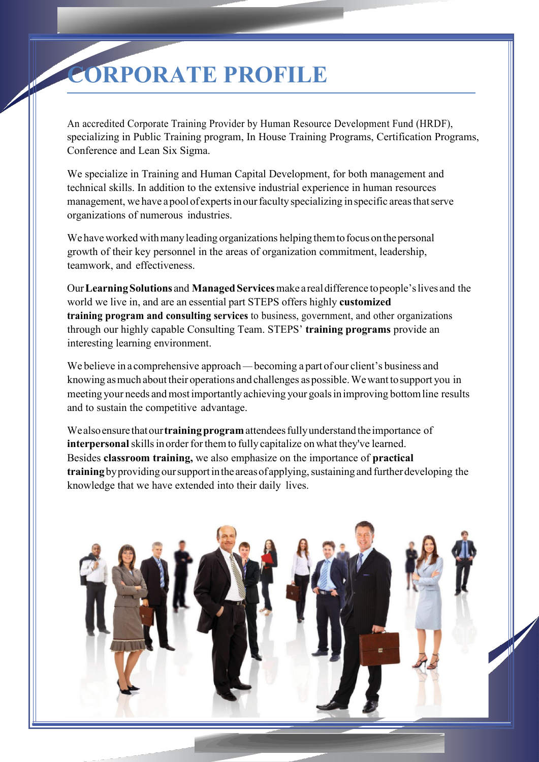# **CORPORATE PROFILE**

An accredited Corporate Training Provider by Human Resource Development Fund (HRDF), specializing in Public Training program, In House Training Programs, Certification Programs, Conference and Lean Six Sigma.

We specialize in Training and Human Capital Development, for both management and technical skills. In addition to the extensive industrial experience in human resources management, we have a pool of experts in our faculty specializing in specific areas that serve organizations ofnumerous industries.

We have worked with many leading organizations helping them to focus on the personal growth of their key personnel in the areas of organization commitment, leadership, teamwork, and effectiveness.

Our**LearningSolutions** and **Managed Services**make arealdifference topeople'slives and the world we live in, and are an essential part STEPS offers highly **customized training program and consulting services** to business, government, and other organizations through our highly capable Consulting Team. STEPS' **training programs** provide an interesting learning environment.

We believe in a comprehensive approach — becoming a part of our client's business and knowing asmuch about their operations and challenges aspossible.Wewant tosupport you in meeting your needs and most importantly achieving your goals in improving bottom line results and to sustain the competitive advantage.

Wealsoensure thatour**trainingprogram**attendeesfullyunderstand theimportance of **interpersonal** skills in order for them to fully capitalize on what they've learned. Besides **classroom training,** we also emphasize on the importance of **practical training** by providing our support in the areas of applying, sustaining and further developing the knowledge that we have extended into their daily lives.

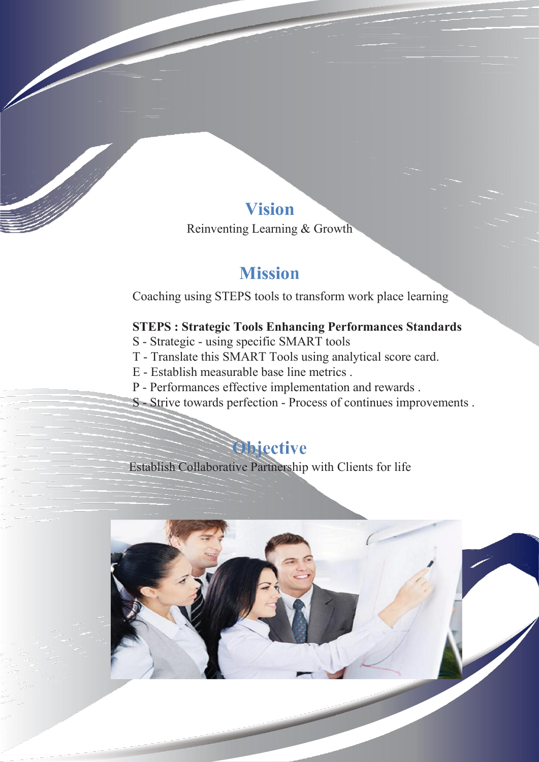#### **Vision**

Reinventing Learning & Growth

#### **Mission**

Coaching using STEPS tools to transform work place learning

#### **STEPS : Strategic Tools Enhancing Performances Standards**

- S Strategic using specific SMART tools
- T Translate this SMART Tools using analytical score card.
- 
- E Establish measurable base line metrics .<br>P Performances effective implementation and rewards .
- S Strive towards perfection Process of continues improvements.

# **Objective**

Establish Collaborative Partnership with Clients for life

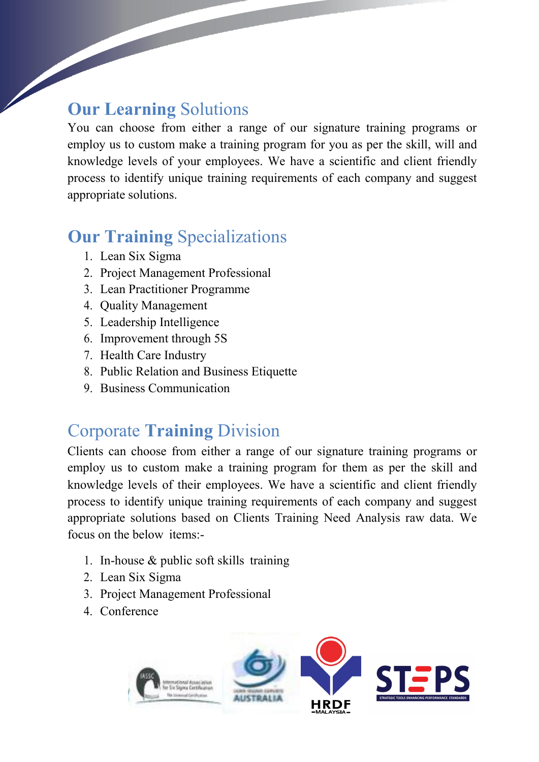#### **Our Learning** Solutions

You can choose from either a range of our signature training programs or employ us to custom make a training program for you as per the skill, will and knowledge levels of your employees. We have a scientific and client friendly process to identify unique training requirements of each company and suggest appropriate solutions.

# **Our Training** Specializations

- 1. Lean Six Sigma
- 2. Project Management Professional
- 3. Lean Practitioner Programme
- 4. Quality Management
- 5. Leadership Intelligence
- 6. Improvement through 5S
- 7. Health Care Industry
- 8. Public Relation and Business Etiquette
- 9. Business Communication

### Corporate **Training** Division

Clients can choose from either a range of our signature training programs or employ us to custom make a training program for them as per the skill and knowledge levels of their employees. We have a scientific and client friendly process to identify unique training requirements of each company and suggest appropriate solutions based on Clients Training Need Analysis raw data. We focus on the below items:-

- 1. In-house & public soft skills training
- 2. Lean Six Sigma
- 3. Project Management Professional
- 4. Conference